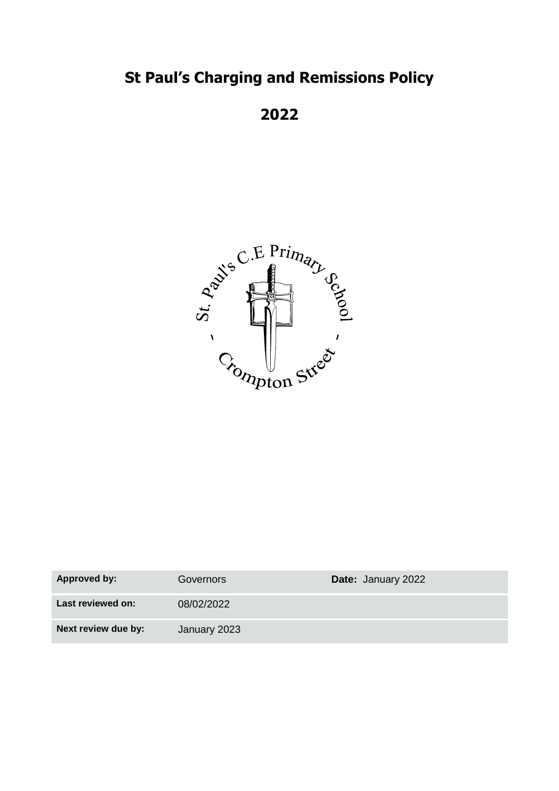# **St Paul's Charging and Remissions Policy**

**2022**



| Approved by:        | Governors    | <b>Date: January 2022</b> |
|---------------------|--------------|---------------------------|
| Last reviewed on:   | 08/02/2022   |                           |
| Next review due by: | January 2023 |                           |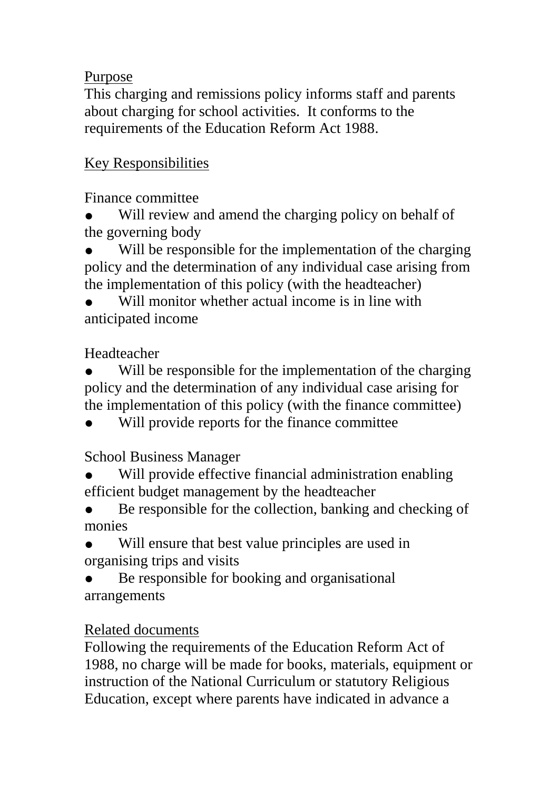#### Purpose

This charging and remissions policy informs staff and parents about charging for school activities. It conforms to the requirements of the Education Reform Act 1988.

## Key Responsibilities

Finance committee

Will review and amend the charging policy on behalf of the governing body

Will be responsible for the implementation of the charging policy and the determination of any individual case arising from the implementation of this policy (with the headteacher)

Will monitor whether actual income is in line with anticipated income

Headteacher

Will be responsible for the implementation of the charging policy and the determination of any individual case arising for the implementation of this policy (with the finance committee)

Will provide reports for the finance committee

School Business Manager

Will provide effective financial administration enabling efficient budget management by the headteacher

Be responsible for the collection, banking and checking of monies

Will ensure that best value principles are used in organising trips and visits

Be responsible for booking and organisational arrangements

## Related documents

Following the requirements of the Education Reform Act of 1988, no charge will be made for books, materials, equipment or instruction of the National Curriculum or statutory Religious Education, except where parents have indicated in advance a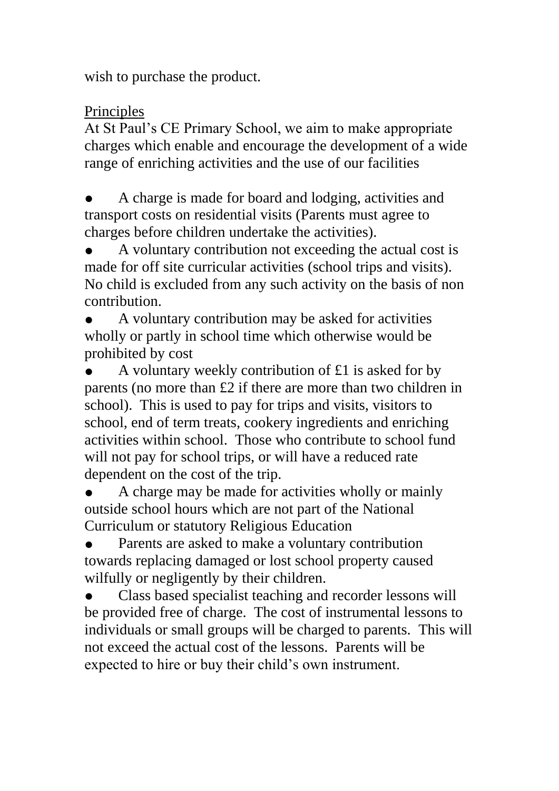wish to purchase the product.

### Principles

At St Paul's CE Primary School, we aim to make appropriate charges which enable and encourage the development of a wide range of enriching activities and the use of our facilities

A charge is made for board and lodging, activities and transport costs on residential visits (Parents must agree to charges before children undertake the activities).

A voluntary contribution not exceeding the actual cost is made for off site curricular activities (school trips and visits). No child is excluded from any such activity on the basis of non contribution.

A voluntary contribution may be asked for activities wholly or partly in school time which otherwise would be prohibited by cost

A voluntary weekly contribution of  $£1$  is asked for by parents (no more than £2 if there are more than two children in school). This is used to pay for trips and visits, visitors to school, end of term treats, cookery ingredients and enriching activities within school. Those who contribute to school fund will not pay for school trips, or will have a reduced rate dependent on the cost of the trip.

A charge may be made for activities wholly or mainly outside school hours which are not part of the National Curriculum or statutory Religious Education

Parents are asked to make a voluntary contribution towards replacing damaged or lost school property caused wilfully or negligently by their children.

Class based specialist teaching and recorder lessons will be provided free of charge. The cost of instrumental lessons to individuals or small groups will be charged to parents. This will not exceed the actual cost of the lessons. Parents will be expected to hire or buy their child's own instrument.